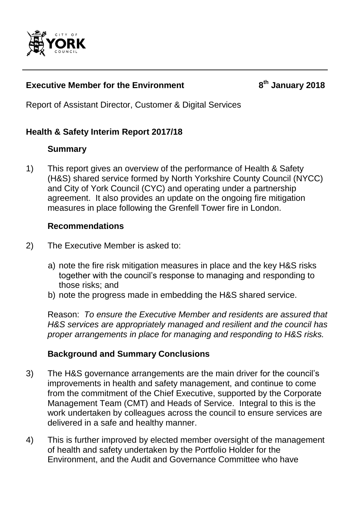

#### **Executive Member for the Environment**

**th January 2018**

Report of Assistant Director, Customer & Digital Services

### **Health & Safety Interim Report 2017/18**

### **Summary**

1) This report gives an overview of the performance of Health & Safety (H&S) shared service formed by North Yorkshire County Council (NYCC) and City of York Council (CYC) and operating under a partnership agreement. It also provides an update on the ongoing fire mitigation measures in place following the Grenfell Tower fire in London.

#### **Recommendations**

- 2) The Executive Member is asked to:
	- a) note the fire risk mitigation measures in place and the key H&S risks together with the council's response to managing and responding to those risks; and
	- b) note the progress made in embedding the H&S shared service.

Reason: *To ensure the Executive Member and residents are assured that H&S services are appropriately managed and resilient and the council has proper arrangements in place for managing and responding to H&S risks.*

### **Background and Summary Conclusions**

- 3) The H&S governance arrangements are the main driver for the council's improvements in health and safety management, and continue to come from the commitment of the Chief Executive, supported by the Corporate Management Team (CMT) and Heads of Service. Integral to this is the work undertaken by colleagues across the council to ensure services are delivered in a safe and healthy manner.
- 4) This is further improved by elected member oversight of the management of health and safety undertaken by the Portfolio Holder for the Environment, and the Audit and Governance Committee who have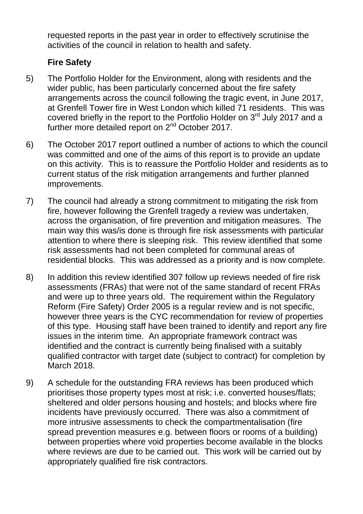requested reports in the past year in order to effectively scrutinise the activities of the council in relation to health and safety.

### **Fire Safety**

- 5) The Portfolio Holder for the Environment, along with residents and the wider public, has been particularly concerned about the fire safety arrangements across the council following the tragic event, in June 2017, at Grenfell Tower fire in West London which killed 71 residents. This was covered briefly in the report to the Portfolio Holder on 3<sup>rd</sup> July 2017 and a further more detailed report on 2<sup>nd</sup> October 2017.
- 6) The October 2017 report outlined a number of actions to which the council was committed and one of the aims of this report is to provide an update on this activity. This is to reassure the Portfolio Holder and residents as to current status of the risk mitigation arrangements and further planned improvements.
- 7) The council had already a strong commitment to mitigating the risk from fire, however following the Grenfell tragedy a review was undertaken, across the organisation, of fire prevention and mitigation measures. The main way this was/is done is through fire risk assessments with particular attention to where there is sleeping risk. This review identified that some risk assessments had not been completed for communal areas of residential blocks. This was addressed as a priority and is now complete.
- 8) In addition this review identified 307 follow up reviews needed of fire risk assessments (FRAs) that were not of the same standard of recent FRAs and were up to three years old. The requirement within the Regulatory Reform (Fire Safety) Order 2005 is a regular review and is not specific, however three years is the CYC recommendation for review of properties of this type. Housing staff have been trained to identify and report any fire issues in the interim time. An appropriate framework contract was identified and the contract is currently being finalised with a suitably qualified contractor with target date (subject to contract) for completion by March 2018.
- 9) A schedule for the outstanding FRA reviews has been produced which prioritises those property types most at risk; i.e. converted houses/flats; sheltered and older persons housing and hostels; and blocks where fire incidents have previously occurred. There was also a commitment of more intrusive assessments to check the compartmentalisation (fire spread prevention measures e.g. between floors or rooms of a building) between properties where void properties become available in the blocks where reviews are due to be carried out. This work will be carried out by appropriately qualified fire risk contractors.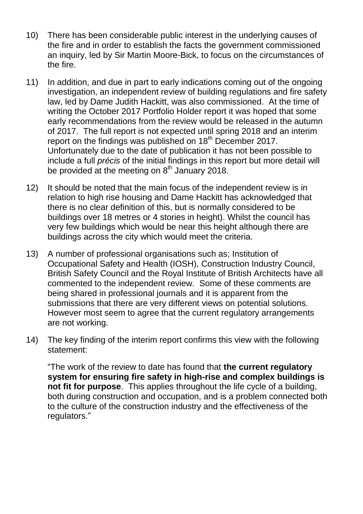- 10) There has been considerable public interest in the underlying causes of the fire and in order to establish the facts the government commissioned an inquiry, led by Sir Martin Moore-Bick, to focus on the circumstances of the fire.
- 11) In addition, and due in part to early indications coming out of the ongoing investigation, an independent review of building regulations and fire safety law, led by Dame Judith Hackitt, was also commissioned. At the time of writing the October 2017 Portfolio Holder report it was hoped that some early recommendations from the review would be released in the autumn of 2017. The full report is not expected until spring 2018 and an interim report on the findings was published on 18<sup>th</sup> December 2017. Unfortunately due to the date of publication it has not been possible to include a full *précis* of the initial findings in this report but more detail will be provided at the meeting on  $8<sup>th</sup>$  January 2018.
- 12) It should be noted that the main focus of the independent review is in relation to high rise housing and Dame Hackitt has acknowledged that there is no clear definition of this, but is normally considered to be buildings over 18 metres or 4 stories in height). Whilst the council has very few buildings which would be near this height although there are buildings across the city which would meet the criteria.
- 13) A number of professional organisations such as; Institution of Occupational Safety and Health (IOSH), Construction Industry Council, British Safety Council and the Royal Institute of British Architects have all commented to the independent review. Some of these comments are being shared in professional journals and it is apparent from the submissions that there are very different views on potential solutions. However most seem to agree that the current regulatory arrangements are not working.
- 14) The key finding of the interim report confirms this view with the following statement:

"The work of the review to date has found that **the current regulatory system for ensuring fire safety in high-rise and complex buildings is not fit for purpose**. This applies throughout the life cycle of a building, both during construction and occupation, and is a problem connected both to the culture of the construction industry and the effectiveness of the regulators."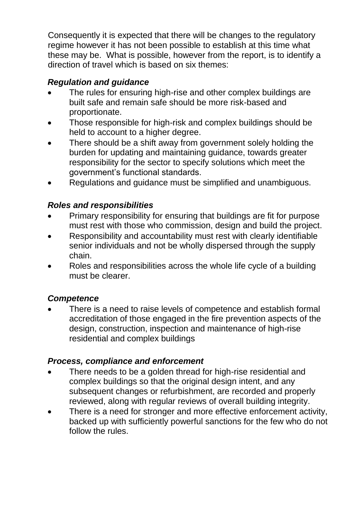Consequently it is expected that there will be changes to the regulatory regime however it has not been possible to establish at this time what these may be. What is possible, however from the report, is to identify a direction of travel which is based on six themes:

## *Regulation and guidance*

- The rules for ensuring high-rise and other complex buildings are built safe and remain safe should be more risk-based and proportionate.
- Those responsible for high-risk and complex buildings should be held to account to a higher degree.
- There should be a shift away from government solely holding the burden for updating and maintaining guidance, towards greater responsibility for the sector to specify solutions which meet the government's functional standards.
- Regulations and guidance must be simplified and unambiguous.

## *Roles and responsibilities*

- Primary responsibility for ensuring that buildings are fit for purpose must rest with those who commission, design and build the project.
- Responsibility and accountability must rest with clearly identifiable senior individuals and not be wholly dispersed through the supply chain.
- Roles and responsibilities across the whole life cycle of a building must be clearer.

## *Competence*

 There is a need to raise levels of competence and establish formal accreditation of those engaged in the fire prevention aspects of the design, construction, inspection and maintenance of high-rise residential and complex buildings

## *Process, compliance and enforcement*

- There needs to be a golden thread for high-rise residential and complex buildings so that the original design intent, and any subsequent changes or refurbishment, are recorded and properly reviewed, along with regular reviews of overall building integrity.
- There is a need for stronger and more effective enforcement activity, backed up with sufficiently powerful sanctions for the few who do not follow the rules.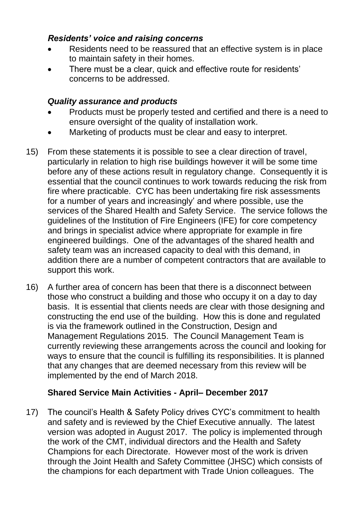#### *Residents' voice and raising concerns*

- Residents need to be reassured that an effective system is in place to maintain safety in their homes.
- There must be a clear, quick and effective route for residents' concerns to be addressed.

### *Quality assurance and products*

- Products must be properly tested and certified and there is a need to ensure oversight of the quality of installation work.
- Marketing of products must be clear and easy to interpret.
- 15) From these statements it is possible to see a clear direction of travel, particularly in relation to high rise buildings however it will be some time before any of these actions result in regulatory change. Consequently it is essential that the council continues to work towards reducing the risk from fire where practicable. CYC has been undertaking fire risk assessments for a number of years and increasingly' and where possible, use the services of the Shared Health and Safety Service. The service follows the guidelines of the Institution of Fire Engineers (IFE) for core competency and brings in specialist advice where appropriate for example in fire engineered buildings. One of the advantages of the shared health and safety team was an increased capacity to deal with this demand, in addition there are a number of competent contractors that are available to support this work.
- 16) A further area of concern has been that there is a disconnect between those who construct a building and those who occupy it on a day to day basis. It is essential that clients needs are clear with those designing and constructing the end use of the building. How this is done and regulated is via the framework outlined in the Construction, Design and Management Regulations 2015. The Council Management Team is currently reviewing these arrangements across the council and looking for ways to ensure that the council is fulfilling its responsibilities. It is planned that any changes that are deemed necessary from this review will be implemented by the end of March 2018.

### **Shared Service Main Activities - April– December 2017**

17) The council's Health & Safety Policy drives CYC's commitment to health and safety and is reviewed by the Chief Executive annually. The latest version was adopted in August 2017. The policy is implemented through the work of the CMT, individual directors and the Health and Safety Champions for each Directorate. However most of the work is driven through the Joint Health and Safety Committee (JHSC) which consists of the champions for each department with Trade Union colleagues. The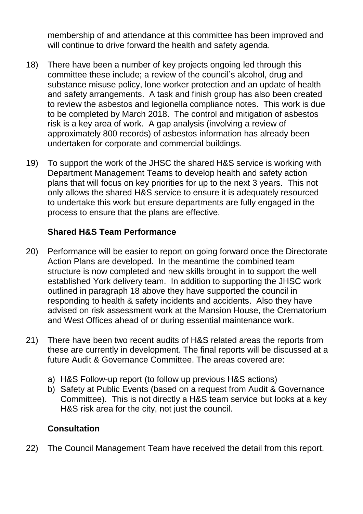membership of and attendance at this committee has been improved and will continue to drive forward the health and safety agenda.

- 18) There have been a number of key projects ongoing led through this committee these include; a review of the council's alcohol, drug and substance misuse policy, lone worker protection and an update of health and safety arrangements. A task and finish group has also been created to review the asbestos and legionella compliance notes. This work is due to be completed by March 2018. The control and mitigation of asbestos risk is a key area of work. A gap analysis (involving a review of approximately 800 records) of asbestos information has already been undertaken for corporate and commercial buildings.
- 19) To support the work of the JHSC the shared H&S service is working with Department Management Teams to develop health and safety action plans that will focus on key priorities for up to the next 3 years. This not only allows the shared H&S service to ensure it is adequately resourced to undertake this work but ensure departments are fully engaged in the process to ensure that the plans are effective.

#### **Shared H&S Team Performance**

- 20) Performance will be easier to report on going forward once the Directorate Action Plans are developed. In the meantime the combined team structure is now completed and new skills brought in to support the well established York delivery team. In addition to supporting the JHSC work outlined in paragraph 18 above they have supported the council in responding to health & safety incidents and accidents. Also they have advised on risk assessment work at the Mansion House, the Crematorium and West Offices ahead of or during essential maintenance work.
- 21) There have been two recent audits of H&S related areas the reports from these are currently in development. The final reports will be discussed at a future Audit & Governance Committee. The areas covered are:
	- a) H&S Follow-up report (to follow up previous H&S actions)
	- b) Safety at Public Events (based on a request from Audit & Governance Committee). This is not directly a H&S team service but looks at a key H&S risk area for the city, not just the council.

#### **Consultation**

22) The Council Management Team have received the detail from this report.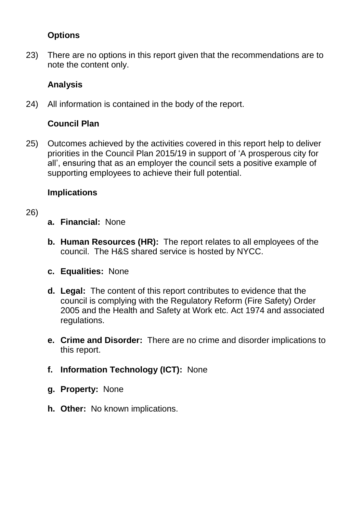### **Options**

23) There are no options in this report given that the recommendations are to note the content only.

## **Analysis**

24) All information is contained in the body of the report.

# **Council Plan**

25) Outcomes achieved by the activities covered in this report help to deliver priorities in the Council Plan 2015/19 in support of 'A prosperous city for all', ensuring that as an employer the council sets a positive example of supporting employees to achieve their full potential.

## **Implications**

### 26)

- **a. Financial:** None
- **b. Human Resources (HR):** The report relates to all employees of the council. The H&S shared service is hosted by NYCC.
- **c. Equalities:** None
- **d. Legal:** The content of this report contributes to evidence that the council is complying with the Regulatory Reform (Fire Safety) Order 2005 and the Health and Safety at Work etc. Act 1974 and associated regulations.
- **e. Crime and Disorder:** There are no crime and disorder implications to this report.
- **f. Information Technology (ICT):** None
- **g. Property:** None
- **h. Other:** No known implications.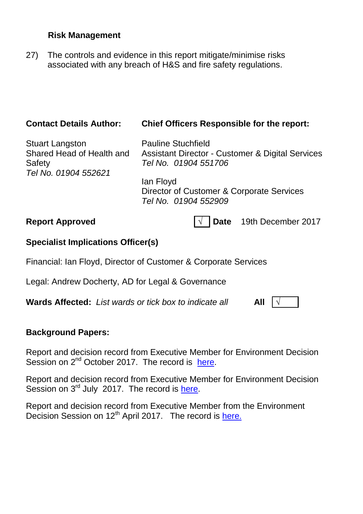#### **Risk Management**

27) The controls and evidence in this report mitigate/minimise risks associated with any breach of H&S and fire safety regulations.

| <b>Contact Details Author:</b>                                                        | <b>Chief Officers Responsible for the report:</b>                                                                                                                                                  |
|---------------------------------------------------------------------------------------|----------------------------------------------------------------------------------------------------------------------------------------------------------------------------------------------------|
| <b>Stuart Langston</b><br>Shared Head of Health and<br>Safety<br>Tel No. 01904 552621 | <b>Pauline Stuchfield</b><br><b>Assistant Director - Customer &amp; Digital Services</b><br>Tel No. 01904 551706<br>lan Floyd<br>Director of Customer & Corporate Services<br>Tel No. 01904 552909 |
| <b>Report Approved</b>                                                                | <b>Date</b><br>19th December 2017                                                                                                                                                                  |
| <b>Specialist Implications Officer(s)</b>                                             |                                                                                                                                                                                                    |
| Financial: Ian Floyd, Director of Customer & Corporate Services                       |                                                                                                                                                                                                    |
| Legal: Andrew Docherty, AD for Legal & Governance                                     |                                                                                                                                                                                                    |
| <b>Wards Affected:</b> List wards or tick box to indicate all                         | All                                                                                                                                                                                                |

#### **Background Papers:**

Report and decision record from Executive Member for Environment Decision Session on 2<sup>nd</sup> October 2017. The record is [here.](http://democracy.york.gov.uk/ieListDocuments.aspx?CId=870&MId=10033&Ver=4)

Report and decision record from Executive Member for Environment Decision Session on 3<sup>rd</sup> July 2017. The record is [here.](http://democracy.york.gov.uk/ieListDocuments.aspx?CId=870&MId=10030&Ver=4)

Report and decision record from Executive Member from the Environment Decision Session on 12<sup>th</sup> April 2017. The record is [here.](http://modgov.york.gov.uk/ieListDocuments.aspx?CId=870&MId=10325&Ver=4)